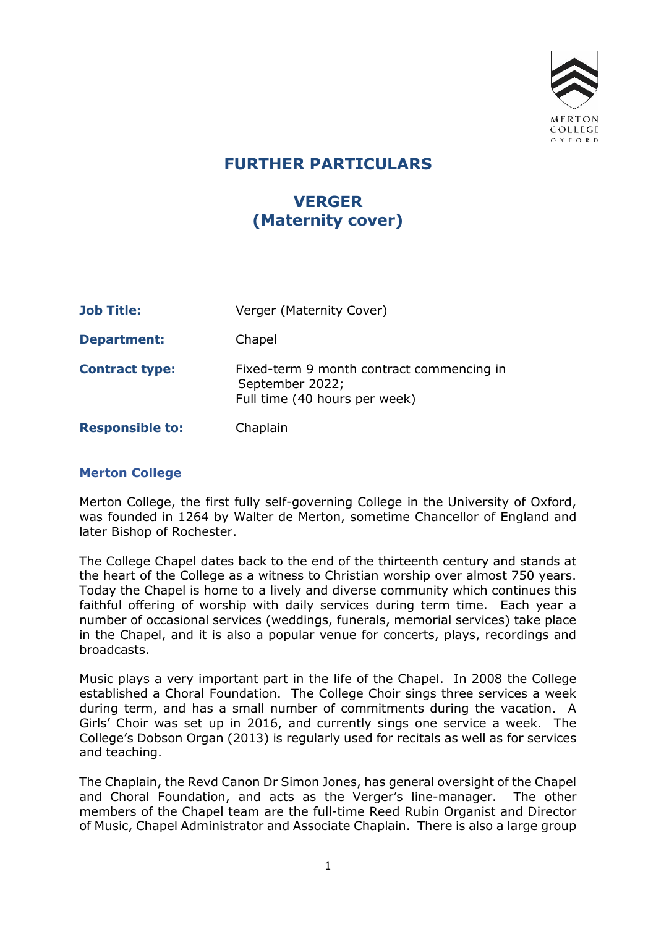

# FURTHER PARTICULARS

# VERGER (Maternity cover)

| <b>Job Title:</b>      | Verger (Maternity Cover)                                                                      |
|------------------------|-----------------------------------------------------------------------------------------------|
| <b>Department:</b>     | Chapel                                                                                        |
| <b>Contract type:</b>  | Fixed-term 9 month contract commencing in<br>September 2022;<br>Full time (40 hours per week) |
| <b>Responsible to:</b> | Chaplain                                                                                      |

### Merton College

Merton College, the first fully self-governing College in the University of Oxford, was founded in 1264 by Walter de Merton, sometime Chancellor of England and later Bishop of Rochester.

The College Chapel dates back to the end of the thirteenth century and stands at the heart of the College as a witness to Christian worship over almost 750 years. Today the Chapel is home to a lively and diverse community which continues this faithful offering of worship with daily services during term time. Each year a number of occasional services (weddings, funerals, memorial services) take place in the Chapel, and it is also a popular venue for concerts, plays, recordings and broadcasts.

Music plays a very important part in the life of the Chapel. In 2008 the College established a Choral Foundation. The College Choir sings three services a week during term, and has a small number of commitments during the vacation. A Girls' Choir was set up in 2016, and currently sings one service a week. The College's Dobson Organ (2013) is regularly used for recitals as well as for services and teaching.

The Chaplain, the Revd Canon Dr Simon Jones, has general oversight of the Chapel and Choral Foundation, and acts as the Verger's line-manager. The other members of the Chapel team are the full-time Reed Rubin Organist and Director of Music, Chapel Administrator and Associate Chaplain. There is also a large group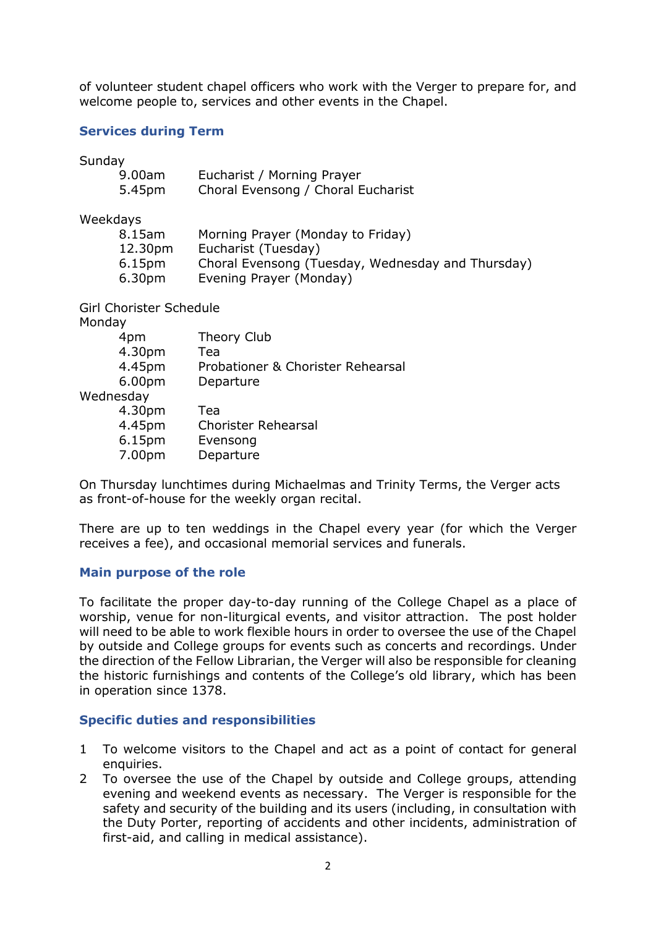of volunteer student chapel officers who work with the Verger to prepare for, and welcome people to, services and other events in the Chapel.

#### Services during Term

Sunday

| 9.00am<br>5.45pm   | Eucharist / Morning Prayer<br>Choral Evensong / Choral Eucharist |
|--------------------|------------------------------------------------------------------|
| Weekdays           |                                                                  |
| 8.15am             | Morning Prayer (Monday to Friday)                                |
| 12.30pm            | Eucharist (Tuesday)                                              |
| 6.15 <sub>pm</sub> | Choral Evensong (Tuesday, Wednesday and Thursday)                |

6.30pm Evening Prayer (Monday)

Girl Chorister Schedule

Monday

| 4pm       | Theory Club                       |
|-----------|-----------------------------------|
| 4.30pm    | Tea                               |
| 4.45pm    | Probationer & Chorister Rehearsal |
| 6.00pm    | Departure                         |
| Wednesday |                                   |
| 4.30pm    | Tea                               |
| 4.45pm    | <b>Chorister Rehearsal</b>        |
| 6.15pm    | Evensong                          |
| 7.00pm    | Departure                         |
|           |                                   |

On Thursday lunchtimes during Michaelmas and Trinity Terms, the Verger acts as front-of-house for the weekly organ recital.

There are up to ten weddings in the Chapel every year (for which the Verger receives a fee), and occasional memorial services and funerals.

#### Main purpose of the role

To facilitate the proper day-to-day running of the College Chapel as a place of worship, venue for non-liturgical events, and visitor attraction. The post holder will need to be able to work flexible hours in order to oversee the use of the Chapel by outside and College groups for events such as concerts and recordings. Under the direction of the Fellow Librarian, the Verger will also be responsible for cleaning the historic furnishings and contents of the College's old library, which has been in operation since 1378.

#### Specific duties and responsibilities

- 1 To welcome visitors to the Chapel and act as a point of contact for general enquiries.
- 2 To oversee the use of the Chapel by outside and College groups, attending evening and weekend events as necessary. The Verger is responsible for the safety and security of the building and its users (including, in consultation with the Duty Porter, reporting of accidents and other incidents, administration of first-aid, and calling in medical assistance).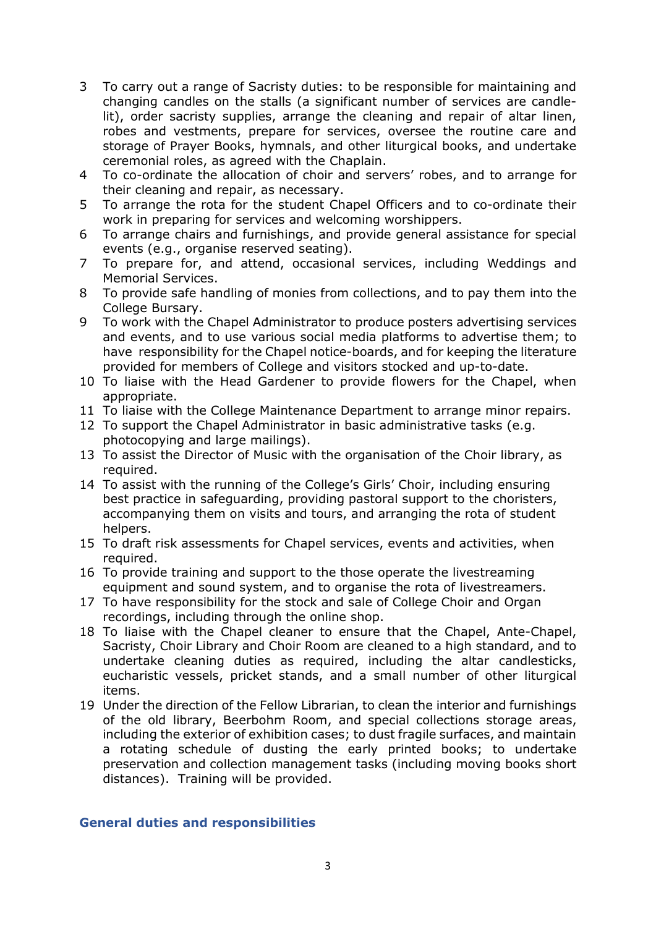- 3 To carry out a range of Sacristy duties: to be responsible for maintaining and changing candles on the stalls (a significant number of services are candlelit), order sacristy supplies, arrange the cleaning and repair of altar linen, robes and vestments, prepare for services, oversee the routine care and storage of Prayer Books, hymnals, and other liturgical books, and undertake ceremonial roles, as agreed with the Chaplain.
- 4 To co-ordinate the allocation of choir and servers' robes, and to arrange for their cleaning and repair, as necessary.
- 5 To arrange the rota for the student Chapel Officers and to co-ordinate their work in preparing for services and welcoming worshippers.
- 6 To arrange chairs and furnishings, and provide general assistance for special events (e.g., organise reserved seating).
- 7 To prepare for, and attend, occasional services, including Weddings and Memorial Services.
- 8 To provide safe handling of monies from collections, and to pay them into the College Bursary.
- 9 To work with the Chapel Administrator to produce posters advertising services and events, and to use various social media platforms to advertise them; to have responsibility for the Chapel notice-boards, and for keeping the literature provided for members of College and visitors stocked and up-to-date.
- 10 To liaise with the Head Gardener to provide flowers for the Chapel, when appropriate.
- 11 To liaise with the College Maintenance Department to arrange minor repairs.
- 12 To support the Chapel Administrator in basic administrative tasks (e.g. photocopying and large mailings).
- 13 To assist the Director of Music with the organisation of the Choir library, as required.
- 14 To assist with the running of the College's Girls' Choir, including ensuring best practice in safeguarding, providing pastoral support to the choristers, accompanying them on visits and tours, and arranging the rota of student helpers.
- 15 To draft risk assessments for Chapel services, events and activities, when required.
- 16 To provide training and support to the those operate the livestreaming equipment and sound system, and to organise the rota of livestreamers.
- 17 To have responsibility for the stock and sale of College Choir and Organ recordings, including through the online shop.
- 18 To liaise with the Chapel cleaner to ensure that the Chapel, Ante-Chapel, Sacristy, Choir Library and Choir Room are cleaned to a high standard, and to undertake cleaning duties as required, including the altar candlesticks, eucharistic vessels, pricket stands, and a small number of other liturgical items.
- 19 Under the direction of the Fellow Librarian, to clean the interior and furnishings of the old library, Beerbohm Room, and special collections storage areas, including the exterior of exhibition cases; to dust fragile surfaces, and maintain a rotating schedule of dusting the early printed books; to undertake preservation and collection management tasks (including moving books short distances). Training will be provided.

### General duties and responsibilities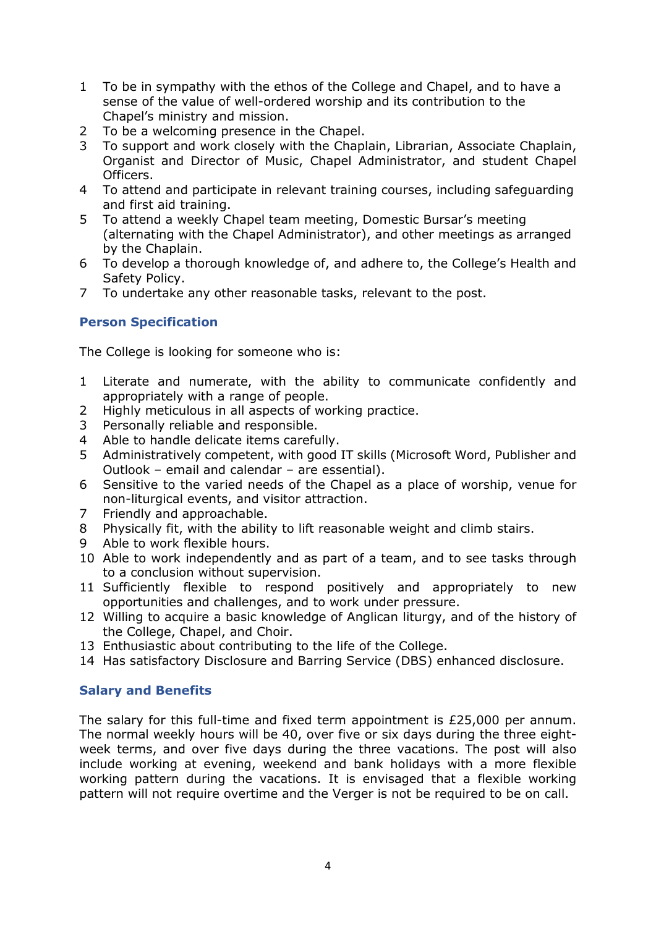- 1 To be in sympathy with the ethos of the College and Chapel, and to have a sense of the value of well-ordered worship and its contribution to the Chapel's ministry and mission.
- 2 To be a welcoming presence in the Chapel.
- 3 To support and work closely with the Chaplain, Librarian, Associate Chaplain, Organist and Director of Music, Chapel Administrator, and student Chapel Officers.
- 4 To attend and participate in relevant training courses, including safeguarding and first aid training.
- 5 To attend a weekly Chapel team meeting, Domestic Bursar's meeting (alternating with the Chapel Administrator), and other meetings as arranged by the Chaplain.
- 6 To develop a thorough knowledge of, and adhere to, the College's Health and Safety Policy.
- 7 To undertake any other reasonable tasks, relevant to the post.

# Person Specification

The College is looking for someone who is:

- 1 Literate and numerate, with the ability to communicate confidently and appropriately with a range of people.
- 2 Highly meticulous in all aspects of working practice.
- 3 Personally reliable and responsible.
- 4 Able to handle delicate items carefully.
- 5 Administratively competent, with good IT skills (Microsoft Word, Publisher and Outlook – email and calendar – are essential).
- 6 Sensitive to the varied needs of the Chapel as a place of worship, venue for non-liturgical events, and visitor attraction.
- 7 Friendly and approachable.
- 8 Physically fit, with the ability to lift reasonable weight and climb stairs.
- 9 Able to work flexible hours.
- 10 Able to work independently and as part of a team, and to see tasks through to a conclusion without supervision.
- 11 Sufficiently flexible to respond positively and appropriately to new opportunities and challenges, and to work under pressure.
- 12 Willing to acquire a basic knowledge of Anglican liturgy, and of the history of the College, Chapel, and Choir.
- 13 Enthusiastic about contributing to the life of the College.
- 14 Has satisfactory Disclosure and Barring Service (DBS) enhanced disclosure.

### Salary and Benefits

The salary for this full-time and fixed term appointment is  $£25,000$  per annum. The normal weekly hours will be 40, over five or six days during the three eightweek terms, and over five days during the three vacations. The post will also include working at evening, weekend and bank holidays with a more flexible working pattern during the vacations. It is envisaged that a flexible working pattern will not require overtime and the Verger is not be required to be on call.